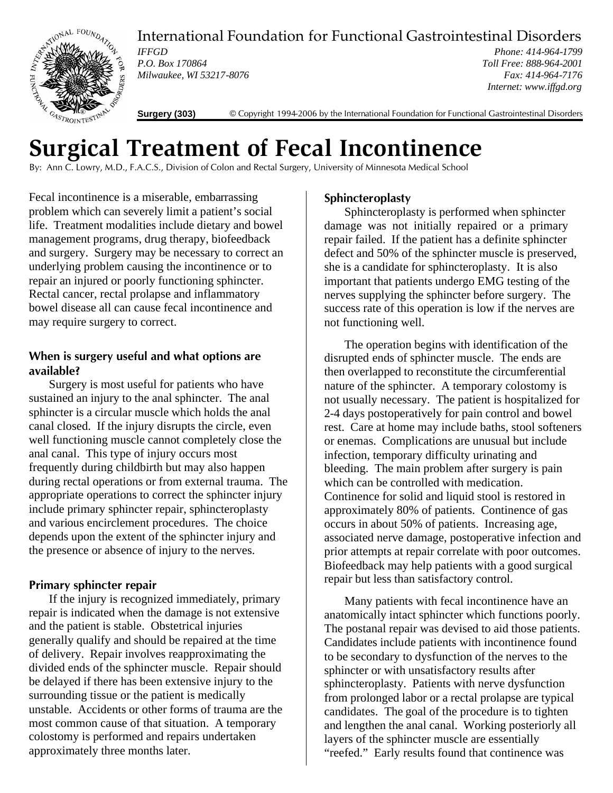

International Foundation for Functional Gastrointestinal Disorders

*IFFGD P.O. Box 170864 Milwaukee, WI 53217-8076*

*Phone: 414-964-1799 Toll Free: 888-964-2001 Fax: 414-964-7176 Internet: www.iffgd.org*

**Surgery (303)** © Copyright 1994-2006 by the International Foundation for Functional Gastrointestinal Disorders

# **Surgical Treatment of Fecal Incontinence**

By: Ann C. Lowry, M.D., F.A.C.S., Division of Colon and Rectal Surgery, University of Minnesota Medical School

Fecal incontinence is a miserable, embarrassing problem which can severely limit a patient's social life. Treatment modalities include dietary and bowel management programs, drug therapy, biofeedback and surgery. Surgery may be necessary to correct an underlying problem causing the incontinence or to repair an injured or poorly functioning sphincter. Rectal cancer, rectal prolapse and inflammatory bowel disease all can cause fecal incontinence and may require surgery to correct.

## **When is surgery useful and what options are available?**

Surgery is most useful for patients who have sustained an injury to the anal sphincter. The anal sphincter is a circular muscle which holds the anal canal closed. If the injury disrupts the circle, even well functioning muscle cannot completely close the anal canal. This type of injury occurs most frequently during childbirth but may also happen during rectal operations or from external trauma. The appropriate operations to correct the sphincter injury include primary sphincter repair, sphincteroplasty and various encirclement procedures. The choice depends upon the extent of the sphincter injury and the presence or absence of injury to the nerves.

## **Primary sphincter repair**

If the injury is recognized immediately, primary repair is indicated when the damage is not extensive and the patient is stable. Obstetrical injuries generally qualify and should be repaired at the time of delivery. Repair involves reapproximating the divided ends of the sphincter muscle. Repair should be delayed if there has been extensive injury to the surrounding tissue or the patient is medically unstable. Accidents or other forms of trauma are the most common cause of that situation. A temporary colostomy is performed and repairs undertaken approximately three months later.

# **Sphincteroplasty**

Sphincteroplasty is performed when sphincter damage was not initially repaired or a primary repair failed. If the patient has a definite sphincter defect and 50% of the sphincter muscle is preserved, she is a candidate for sphincteroplasty. It is also important that patients undergo EMG testing of the nerves supplying the sphincter before surgery. The success rate of this operation is low if the nerves are not functioning well.

The operation begins with identification of the disrupted ends of sphincter muscle. The ends are then overlapped to reconstitute the circumferential nature of the sphincter. A temporary colostomy is not usually necessary. The patient is hospitalized for 2-4 days postoperatively for pain control and bowel rest. Care at home may include baths, stool softeners or enemas. Complications are unusual but include infection, temporary difficulty urinating and bleeding. The main problem after surgery is pain which can be controlled with medication. Continence for solid and liquid stool is restored in approximately 80% of patients. Continence of gas occurs in about 50% of patients. Increasing age, associated nerve damage, postoperative infection and prior attempts at repair correlate with poor outcomes. Biofeedback may help patients with a good surgical repair but less than satisfactory control.

Many patients with fecal incontinence have an anatomically intact sphincter which functions poorly. The postanal repair was devised to aid those patients. Candidates include patients with incontinence found to be secondary to dysfunction of the nerves to the sphincter or with unsatisfactory results after sphincteroplasty. Patients with nerve dysfunction from prolonged labor or a rectal prolapse are typical candidates. The goal of the procedure is to tighten and lengthen the anal canal. Working posteriorly all layers of the sphincter muscle are essentially "reefed." Early results found that continence was